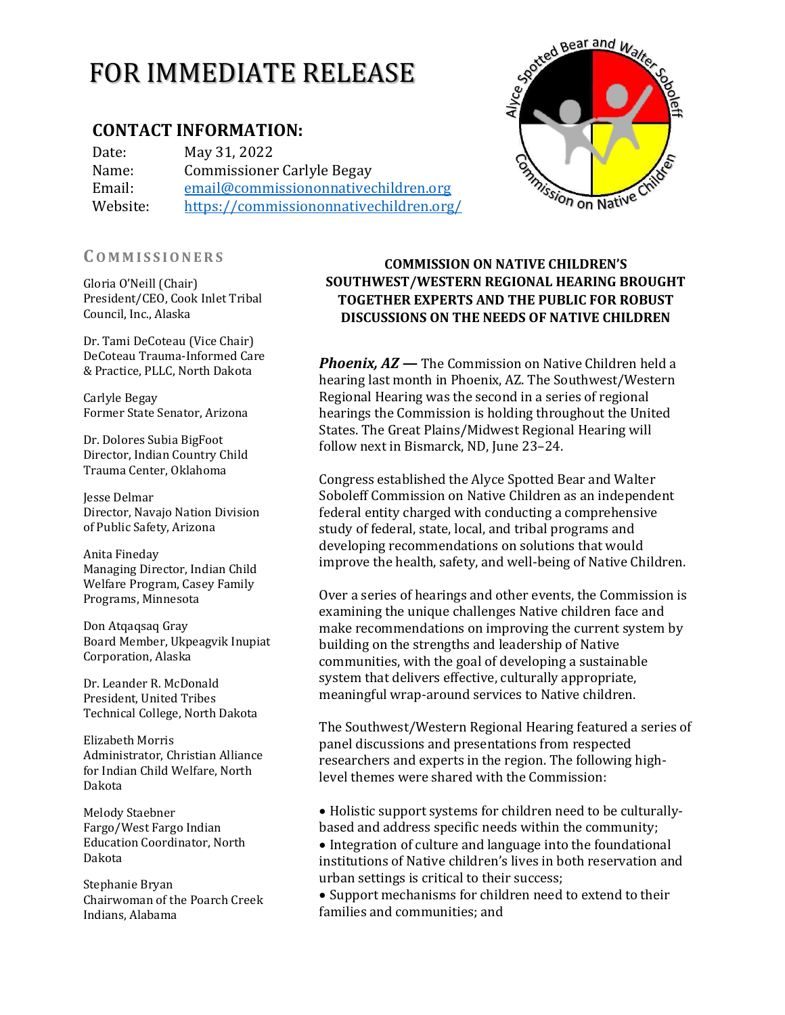# FOR IMMEDIATE RELEASE

# **CONTACT INFORMATION:**

Date: May 31, 2022 Name: Commissioner Carlyle Begay Email: [email@commissiononnativechildren.org](mailto:email@commissiononnativechildren.org) Website: <https://commissiononnativechildren.org/>

#### **CO M M I S S I O N E R S**

Gloria O'Neill (Chair) President/CEO, Cook Inlet Tribal Council, Inc., Alaska

Dr. Tami DeCoteau (Vice Chair) DeCoteau Trauma-Informed Care & Practice, PLLC, North Dakota

Carlyle Begay Former State Senator, Arizona

Dr. Dolores Subia BigFoot Director, Indian Country Child Trauma Center, Oklahoma

Jesse Delmar Director, Navajo Nation Division of Public Safety, Arizona

Anita Fineday Managing Director, Indian Child Welfare Program, Casey Family Programs, Minnesota

Don Atqaqsaq Gray Board Member, Ukpeagvik Inupiat Corporation, Alaska

Dr. Leander R. McDonald President, United Tribes Technical College, North Dakota

Elizabeth Morris Administrator, Christian Alliance for Indian Child Welfare, North Dakota

Melody Staebner Fargo/West Fargo Indian Education Coordinator, North Dakota

Stephanie Bryan Chairwoman of the Poarch Creek Indians, Alabama

#### **COMMISSION ON NATIVE CHILDREN'S SOUTHWEST/WESTERN REGIONAL HEARING BROUGHT TOGETHER EXPERTS AND THE PUBLIC FOR ROBUST DISCUSSIONS ON THE NEEDS OF NATIVE CHILDREN**

**Phoenix, AZ** — The Commission on Native Children held a hearing last month in Phoenix, AZ. The Southwest/Western Regional Hearing was the second in a series of regional hearings the Commission is holding throughout the United States. The Great Plains/Midwest Regional Hearing will follow next in Bismarck, ND, June 23–24.

Congress established the Alyce Spotted Bear and Walter Soboleff Commission on Native Children as an independent federal entity charged with conducting a comprehensive study of federal, state, local, and tribal programs and developing recommendations on solutions that would improve the health, safety, and well‐being of Native Children.

Over a series of hearings and other events, the Commission is examining the unique challenges Native children face and make recommendations on improving the current system by building on the strengths and leadership of Native communities, with the goal of developing a sustainable system that delivers effective, culturally appropriate, meaningful wrap-around services to Native children.

The Southwest/Western Regional Hearing featured a series of panel discussions and presentations from respected researchers and experts in the region. The following highlevel themes were shared with the Commission:

• Holistic support systems for children need to be culturallybased and address specific needs within the community; • Integration of culture and language into the foundational institutions of Native children's lives in both reservation and urban settings is critical to their success;

• Support mechanisms for children need to extend to their families and communities; and